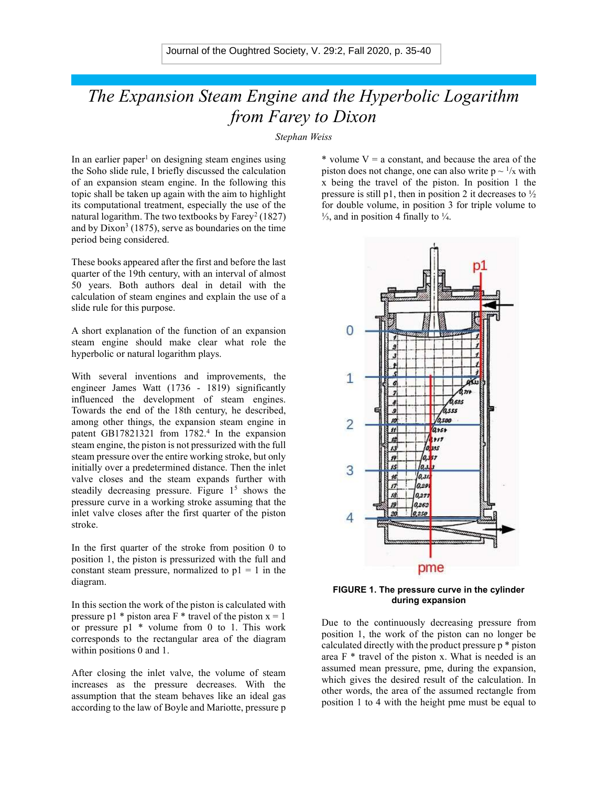## The Expansion Steam Engine and the Hyperbolic Logarithm from Farey to Dixon

Stephan Weiss

In an earlier paper<sup>1</sup> on designing steam engines using the Soho slide rule, I briefly discussed the calculation of an expansion steam engine. In the following this topic shall be taken up again with the aim to highlight its computational treatment, especially the use of the natural logarithm. The two textbooks by  $Farey^2(1827)$ and by  $Dixon^3$  (1875), serve as boundaries on the time period being considered.

These books appeared after the first and before the last quarter of the 19th century, with an interval of almost 50 years. Both authors deal in detail with the calculation of steam engines and explain the use of a slide rule for this purpose.

A short explanation of the function of an expansion steam engine should make clear what role the hyperbolic or natural logarithm plays.

With several inventions and improvements, the engineer James Watt (1736 - 1819) significantly influenced the development of steam engines. Towards the end of the 18th century, he described, among other things, the expansion steam engine in patent GB17821321 from 1782.<sup>4</sup> In the expansion steam engine, the piston is not pressurized with the full steam pressure over the entire working stroke, but only initially over a predetermined distance. Then the inlet valve closes and the steam expands further with steadily decreasing pressure. Figure  $1<sup>5</sup>$  shows the pressure curve in a working stroke assuming that the inlet valve closes after the first quarter of the piston stroke.

In the first quarter of the stroke from position 0 to position 1, the piston is pressurized with the full and constant steam pressure, normalized to  $p1 = 1$  in the diagram.

In this section the work of the piston is calculated with pressure p1  $*$  piston area F  $*$  travel of the piston  $x = 1$ or pressure p1 \* volume from 0 to 1. This work corresponds to the rectangular area of the diagram within positions 0 and 1.

After closing the inlet valve, the volume of steam increases as the pressure decreases. With the assumption that the steam behaves like an ideal gas according to the law of Boyle and Mariotte, pressure p \* volume  $V = a$  constant, and because the area of the piston does not change, one can also write  $p \sim \frac{1}{x}$  with x being the travel of the piston. In position 1 the pressure is still p1, then in position 2 it decreases to  $\frac{1}{2}$ for double volume, in position 3 for triple volume to  $\frac{1}{3}$ , and in position 4 finally to  $\frac{1}{4}$ .



FIGURE 1. The pressure curve in the cylinder during expansion

Due to the continuously decreasing pressure from position 1, the work of the piston can no longer be calculated directly with the product pressure p \* piston area  $F^*$  travel of the piston x. What is needed is an assumed mean pressure, pme, during the expansion, which gives the desired result of the calculation. In other words, the area of the assumed rectangle from position 1 to 4 with the height pme must be equal to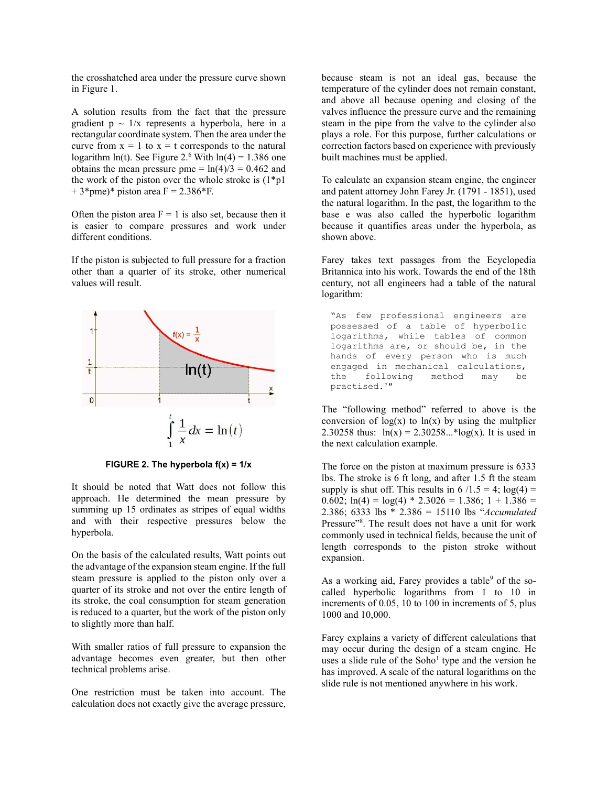the crosshatched area under the pressure curve shown in Figure 1.

A solution results from the fact that the pressure gradient  $p \sim 1/x$  represents a hyperbola, here in a rectangular coordinate system. Then the area under the curve from  $x = 1$  to  $x = t$  corresponds to the natural logarithm  $ln(t)$ . See Figure 2.<sup>6</sup> With  $ln(4) = 1.386$  one obtains the mean pressure pme =  $ln(4)/3 = 0.462$  and the work of the piston over the whole stroke is  $(1^*p1)$  $+ 3$ \*pme)\* piston area F = 2.386\*F.

Often the piston area  $F = 1$  is also set, because then it is easier to compare pressures and work under different conditions.

If the piston is subjected to full pressure for a fraction other than a quarter of its stroke, other numerical values will result.



FIGURE 2. The hyperbola  $f(x) = 1/x$ 

It should be noted that Watt does not follow this approach. He determined the mean pressure by summing up 15 ordinates as stripes of equal widths and with their respective pressures below the hyperbola.

On the basis of the calculated results, Watt points out the advantage of the expansion steam engine. If the full steam pressure is applied to the piston only over a quarter of its stroke and not over the entire length of its stroke, the coal consumption for steam generation is reduced to a quarter, but the work of the piston only to slightly more than half.

With smaller ratios of full pressure to expansion the advantage becomes even greater, but then other technical problems arise.

One restriction must be taken into account. The calculation does not exactly give the average pressure, because steam is not an ideal gas, because the temperature of the cylinder does not remain constant, and above all because opening and closing of the valves influence the pressure curve and the remaining steam in the pipe from the valve to the cylinder also plays a role. For this purpose, further calculations or correction factors based on experience with previously built machines must be applied.

To calculate an expansion steam engine, the engineer and patent attorney John Farey Jr. (1791 - 1851), used the natural logarithm. In the past, the logarithm to the base e was also called the hyperbolic logarithm because it quantifies areas under the hyperbola, as shown above.

Farey takes text passages from the Ecyclopedia Britannica into his work. Towards the end of the 18th century, not all engineers had a table of the natural logarithm:

"As few professional engineers are possessed of a table of hyperbolic logarithms, while tables of common logarithms are, or should be, in the hands of every person who is much engaged in mechanical calculations, the following method may be practised.<sup>7</sup>ʺ

The "following method" referred to above is the conversion of  $log(x)$  to  $ln(x)$  by using the multplier 2.30258 thus:  $ln(x) = 2.30258...*log(x)$ . It is used in the next calculation example.

The force on the piston at maximum pressure is 6333 lbs. The stroke is 6 ft long, and after 1.5 ft the steam supply is shut off. This results in  $6/1.5 = 4$ ;  $log(4) =$ 0.602;  $ln(4) = log(4) * 2.3026 = 1.386$ ;  $1 + 1.386 =$ 2.386; 6333 lbs \* 2.386 = 15110 lbs "Accumulated Pressure"<sup>8</sup>. The result does not have a unit for work commonly used in technical fields, because the unit of length corresponds to the piston stroke without expansion.

As a working aid, Farey provides a table<sup>9</sup> of the socalled hyperbolic logarithms from 1 to 10 in increments of 0.05, 10 to 100 in increments of 5, plus 1000 and 10,000.

Farey explains a variety of different calculations that may occur during the design of a steam engine. He uses a slide rule of the  $Soho<sup>1</sup>$  type and the version he has improved. A scale of the natural logarithms on the slide rule is not mentioned anywhere in his work.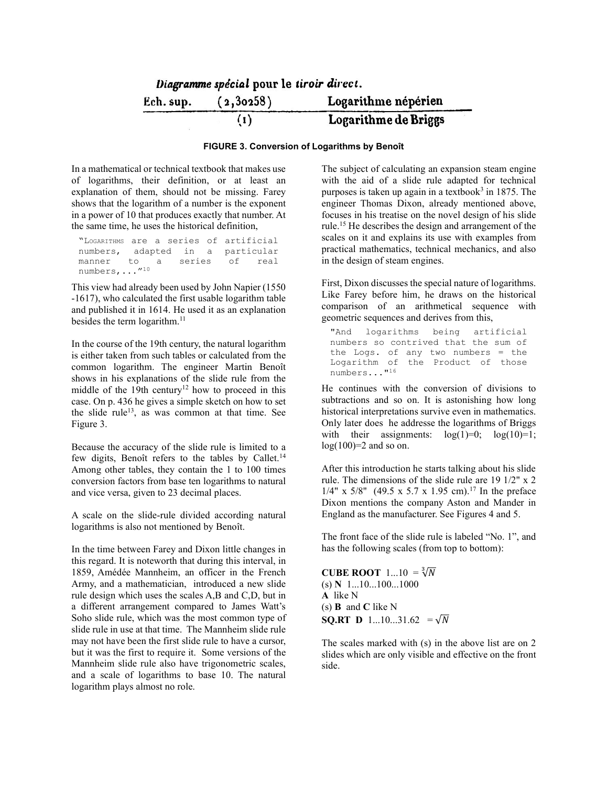|           | Diagramme spécial pour le tiroir direct. |                      |
|-----------|------------------------------------------|----------------------|
| Ech. sup. | (2,30258)                                | Logarithme népérien  |
|           | (1)                                      | Logarithme de Briggs |

## FIGURE 3. Conversion of Logarithms by Benoît

In a mathematical or technical textbook that makes use of logarithms, their definition, or at least an explanation of them, should not be missing. Farey shows that the logarithm of a number is the exponent in a power of 10 that produces exactly that number. At the same time, he uses the historical definition,

"LOGARITHMS are a series of artificial numbers, adapted in a particular<br>manner to a series of real manner to a series of real manner<br>numbers,..."<sup>10</sup>

This view had already been used by John Napier (1550 -1617), who calculated the first usable logarithm table and published it in 1614. He used it as an explanation besides the term logarithm.<sup>11</sup>

In the course of the 19th century, the natural logarithm is either taken from such tables or calculated from the common logarithm. The engineer Martin Benoît shows in his explanations of the slide rule from the middle of the 19th century<sup>12</sup> how to proceed in this case. On p. 436 he gives a simple sketch on how to set the slide rule<sup>13</sup>, as was common at that time. See Figure 3.

Because the accuracy of the slide rule is limited to a few digits, Benoît refers to the tables by Callet.<sup>14</sup> Among other tables, they contain the 1 to 100 times conversion factors from base ten logarithms to natural and vice versa, given to 23 decimal places.

A scale on the slide-rule divided according natural logarithms is also not mentioned by Benoît.

In the time between Farey and Dixon little changes in this regard. It is noteworth that during this interval, in 1859, Amédée Mannheim, an officer in the French Army, and a mathematician, introduced a new slide rule design which uses the scales A,B and C,D, but in a different arrangement compared to James Watt's Soho slide rule, which was the most common type of slide rule in use at that time. The Mannheim slide rule may not have been the first slide rule to have a cursor, but it was the first to require it. Some versions of the Mannheim slide rule also have trigonometric scales, and a scale of logarithms to base 10. The natural logarithm plays almost no role.

The subject of calculating an expansion steam engine with the aid of a slide rule adapted for technical purposes is taken up again in a textbook<sup>3</sup> in 1875. The engineer Thomas Dixon, already mentioned above, focuses in his treatise on the novel design of his slide rule.<sup>15</sup> He describes the design and arrangement of the scales on it and explains its use with examples from practical mathematics, technical mechanics, and also in the design of steam engines.

First, Dixon discusses the special nature of logarithms. Like Farey before him, he draws on the historical comparison of an arithmetical sequence with geometric sequences and derives from this,

"And logarithms being artificial numbers so contrived that the sum of the Logs. of any two numbers = the Logarithm of the Product of those numbers..."<sup>16</sup>

He continues with the conversion of divisions to subtractions and so on. It is astonishing how long historical interpretations survive even in mathematics. Only later does he addresse the logarithms of Briggs with their assignments:  $log(1)=0$ ;  $log(10)=1$ ;  $log(100)=2$  and so on.

After this introduction he starts talking about his slide rule. The dimensions of the slide rule are 19 1/2" x 2  $1/4$ " x 5/8" (49.5 x 5.7 x 1.95 cm).<sup>17</sup> In the preface Dixon mentions the company Aston and Mander in England as the manufacturer. See Figures 4 and 5.

The front face of the slide rule is labeled "No. 1", and has the following scales (from top to bottom):

**CUBE ROOT** 1...10 =  $\sqrt[3]{N}$  $(s) N 1...10...100...1000$ A like N  $(s)$  B and C like N **SO.RT D** 1...10...31.62 =  $\sqrt{N}$ 

The scales marked with (s) in the above list are on 2 slides which are only visible and effective on the front side.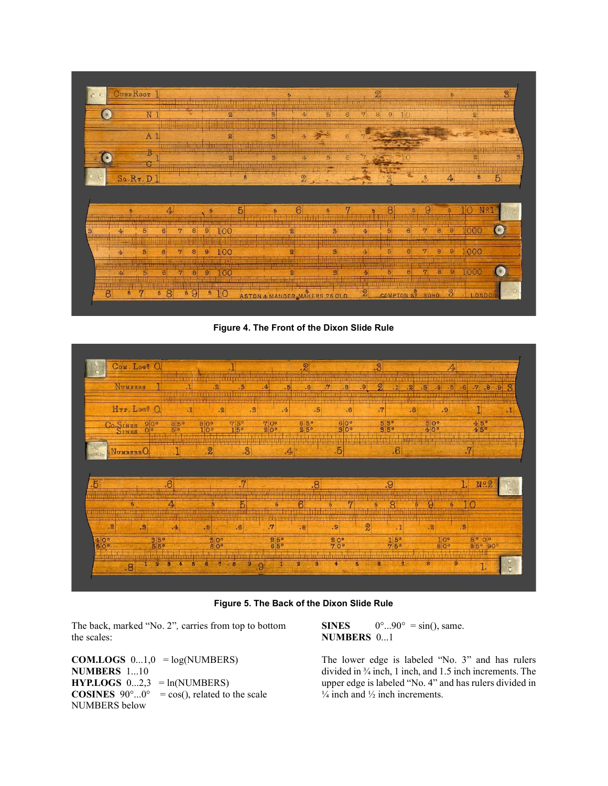| O C       | CUBE ROOT      |                |             |                          |                |                |                            |                |                |                |   |                         |    |                               | 2               |            |                |   | 5        |                | $\overline{3}$ |
|-----------|----------------|----------------|-------------|--------------------------|----------------|----------------|----------------------------|----------------|----------------|----------------|---|-------------------------|----|-------------------------------|-----------------|------------|----------------|---|----------|----------------|----------------|
| <b>I</b>  |                | N <sub>1</sub> |             |                          |                |                | $\boldsymbol{2}$           |                | $\mathfrak{B}$ |                | 4 | 5 <sup>1</sup>          | 6  | $\mathbf{r}$                  | 9<br>8          | 10         |                |   |          | 2              |                |
|           |                | A <sub>1</sub> |             |                          |                |                | 2                          |                | $\overline{3}$ |                |   |                         | 6  |                               |                 |            |                |   |          |                |                |
| $\bullet$ |                |                |             |                          |                |                | $\boldsymbol{\mathcal{D}}$ |                | $\mathfrak{B}$ |                | 4 | 5                       |    |                               |                 |            |                |   | HINNES   | $\overline{2}$ |                |
|           |                |                |             | 305538555888888888888888 |                |                |                            | $\overline{5}$ |                |                | 2 |                         |    |                               | 2               |            | 5              |   | 4        | 5              | $\overline{5}$ |
|           | $S_2.R_T.D1$   |                |             |                          |                |                |                            |                |                |                |   |                         |    |                               |                 |            |                |   |          |                |                |
|           |                |                |             |                          |                |                |                            |                |                |                |   |                         |    |                               |                 |            |                |   |          |                |                |
|           | Б              |                | $4\epsilon$ |                          |                |                |                            | $\mathbf{5}$   | Б              |                | 6 |                         | r7 |                               | 8               | Б          | 9              |   |          |                | N9.            |
|           | $\overline{4}$ | 5 <sup>5</sup> | 6           | $\overline{7}$           | 8              | $\mathbf{9}$   | 100                        |                |                | $\mathbf{z}$   |   | $\overline{\mathbf{3}}$ |    | $\overline{4}$                | $\overline{5}$  | $\epsilon$ | $\mathcal{L}$  | 8 | $\Theta$ | 1000           | $\epsilon$     |
|           | 4 <sub>1</sub> | 5              | $\epsilon$  | $\overline{r}$           | 8              | $\overline{9}$ | 100                        |                |                |                |   | 3                       |    |                               | $\overline{5}$  |            | $\overline{7}$ | 8 | 9        | 1000           |                |
|           | 4 <sub>1</sub> | 5 <sub>5</sub> | $6 \,$      | $\overline{7}$           | $\overline{8}$ | $\overline{9}$ | .00                        |                |                | $\overline{2}$ |   | $\overline{\mathbf{3}}$ |    | $\overline{4}$<br><b>MEAN</b> | $5\overline{5}$ | 6          | $\overline{7}$ | 8 | $\Theta$ | 1000           |                |

Figure 4. The Front of the Dixon Slide Rule



Figure 5. The Back of the Dixon Slide Rule

The back, marked "No. 2", carries from top to bottom the scales:

**COM.LOGS**  $0...1,0 = log(NUMBERS)$ NUMBERS 1...10  $HYP.LOGS$  0...2,3 = ln(NUMBERS) **COSINES**  $90^{\circ}$ ... $0^{\circ}$  = cos(), related to the scale NUMBERS below

SINES  $0^{\circ}$ ...90° = sin(), same. NUMBERS 0...1

The lower edge is labeled "No. 3" and has rulers divided in ¾ inch, 1 inch, and 1.5 inch increments. The upper edge is labeled "No. 4" and has rulers divided in  $\frac{1}{4}$  inch and  $\frac{1}{2}$  inch increments.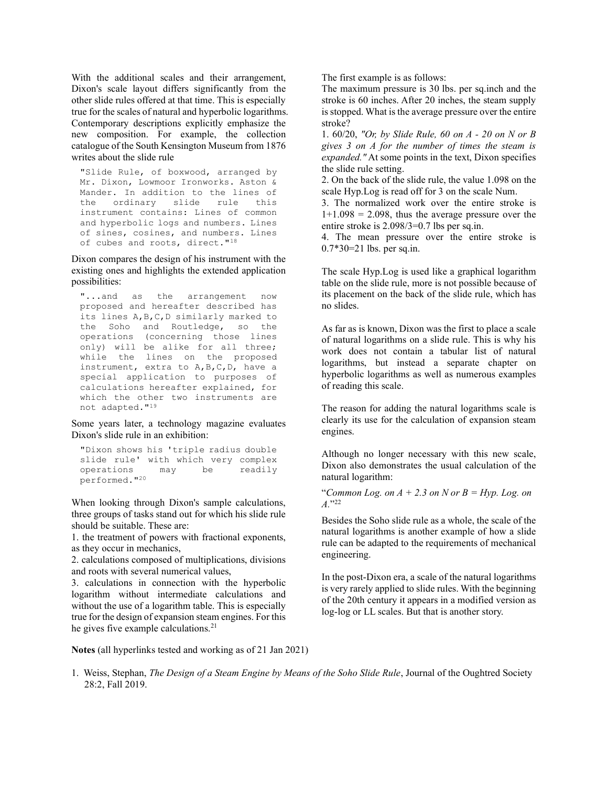With the additional scales and their arrangement, Dixon's scale layout differs significantly from the other slide rules offered at that time. This is especially true for the scales of natural and hyperbolic logarithms. Contemporary descriptions explicitly emphasize the new composition. For example, the collection catalogue of the South Kensington Museum from 1876 writes about the slide rule

"Slide Rule, of boxwood, arranged by Mr. Dixon, Lowmoor Ironworks. Aston & Mander. In addition to the lines of the ordinary slide rule this instrument contains: Lines of common and hyperbolic logs and numbers. Lines of sines, cosines, and numbers. Lines of cubes and roots, direct."<sup>18</sup>

Dixon compares the design of his instrument with the existing ones and highlights the extended application possibilities:

"...and as the arrangement now proposed and hereafter described has its lines A,B,C,D similarly marked to the Soho and Routledge, so the operations (concerning those lines only) will be alike for all three; while the lines on the proposed instrument, extra to A,B,C,D, have a special application to purposes of calculations hereafter explained, for which the other two instruments are not adapted."<sup>19</sup>

Some years later, a technology magazine evaluates Dixon's slide rule in an exhibition:

"Dixon shows his 'triple radius double slide rule' with which very complex operations may be readily performed."<sup>20</sup>

When looking through Dixon's sample calculations, three groups of tasks stand out for which his slide rule should be suitable. These are:

1. the treatment of powers with fractional exponents, as they occur in mechanics,

2. calculations composed of multiplications, divisions and roots with several numerical values,

3. calculations in connection with the hyperbolic logarithm without intermediate calculations and without the use of a logarithm table. This is especially true for the design of expansion steam engines. For this he gives five example calculations.<sup>21</sup>

The first example is as follows:

The maximum pressure is 30 lbs. per sq.inch and the stroke is 60 inches. After 20 inches, the steam supply is stopped. What is the average pressure over the entire stroke?

1. 60/20, "Or, by Slide Rule, 60 on A - 20 on N or B gives 3 on A for the number of times the steam is expanded." At some points in the text, Dixon specifies the slide rule setting.

2. On the back of the slide rule, the value 1.098 on the scale Hyp.Log is read off for 3 on the scale Num.

3. The normalized work over the entire stroke is  $1+1.098 = 2.098$ , thus the average pressure over the entire stroke is 2.098/3=0.7 lbs per sq.in.

4. The mean pressure over the entire stroke is 0.7\*30=21 lbs. per sq.in.

The scale Hyp.Log is used like a graphical logarithm table on the slide rule, more is not possible because of its placement on the back of the slide rule, which has no slides.

As far as is known, Dixon was the first to place a scale of natural logarithms on a slide rule. This is why his work does not contain a tabular list of natural logarithms, but instead a separate chapter on hyperbolic logarithms as well as numerous examples of reading this scale.

The reason for adding the natural logarithms scale is clearly its use for the calculation of expansion steam engines.

Although no longer necessary with this new scale, Dixon also demonstrates the usual calculation of the natural logarithm:

"Common Log. on  $A + 2.3$  on N or  $B = Hyp$ . Log. on  $A.$ <sup>"22</sup>

Besides the Soho slide rule as a whole, the scale of the natural logarithms is another example of how a slide rule can be adapted to the requirements of mechanical engineering.

In the post-Dixon era, a scale of the natural logarithms is very rarely applied to slide rules. With the beginning of the 20th century it appears in a modified version as log-log or LL scales. But that is another story.

Notes (all hyperlinks tested and working as of 21 Jan 2021)

1. Weiss, Stephan, The Design of a Steam Engine by Means of the Soho Slide Rule, Journal of the Oughtred Society 28:2, Fall 2019.